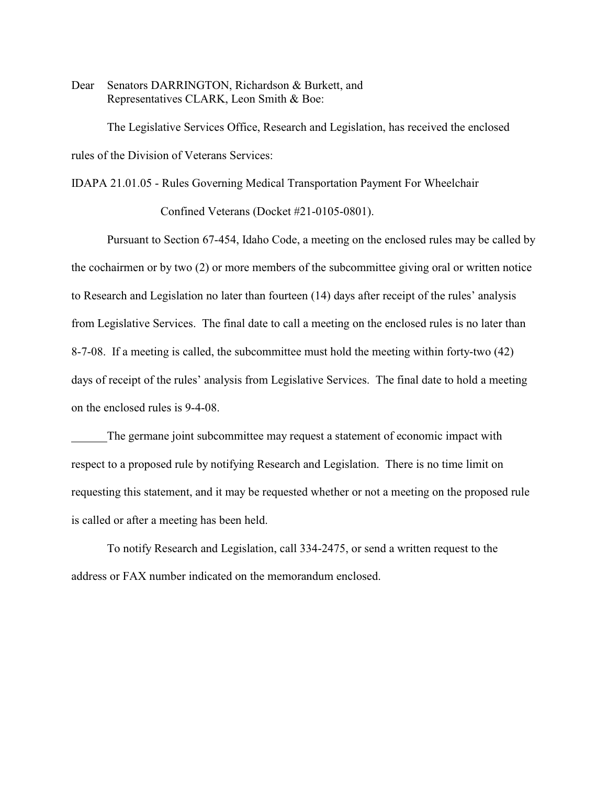Dear Senators DARRINGTON, Richardson & Burkett, and Representatives CLARK, Leon Smith & Boe:

The Legislative Services Office, Research and Legislation, has received the enclosed rules of the Division of Veterans Services:

IDAPA 21.01.05 - Rules Governing Medical Transportation Payment For Wheelchair

Confined Veterans (Docket #21-0105-0801).

Pursuant to Section 67-454, Idaho Code, a meeting on the enclosed rules may be called by the cochairmen or by two (2) or more members of the subcommittee giving oral or written notice to Research and Legislation no later than fourteen (14) days after receipt of the rules' analysis from Legislative Services. The final date to call a meeting on the enclosed rules is no later than 8-7-08. If a meeting is called, the subcommittee must hold the meeting within forty-two (42) days of receipt of the rules' analysis from Legislative Services. The final date to hold a meeting on the enclosed rules is 9-4-08.

The germane joint subcommittee may request a statement of economic impact with respect to a proposed rule by notifying Research and Legislation. There is no time limit on requesting this statement, and it may be requested whether or not a meeting on the proposed rule is called or after a meeting has been held.

To notify Research and Legislation, call 334-2475, or send a written request to the address or FAX number indicated on the memorandum enclosed.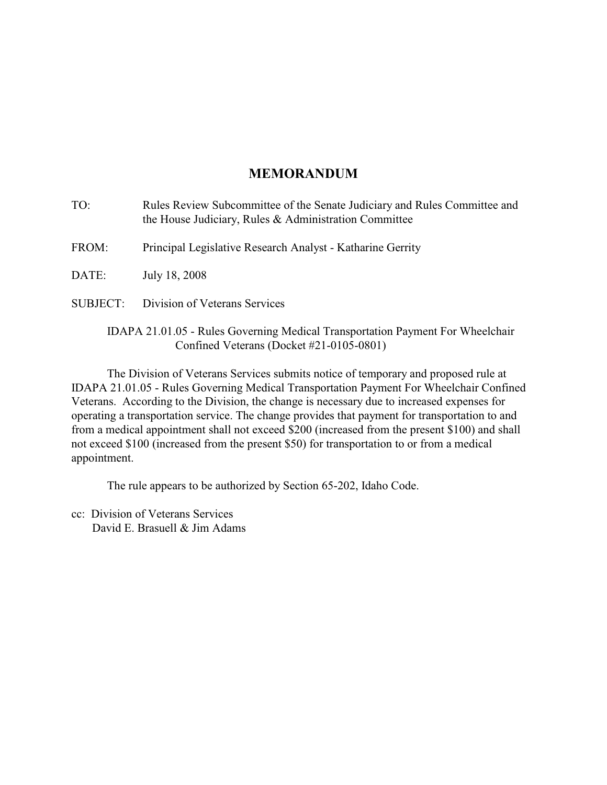# **MEMORANDUM**

- TO: Rules Review Subcommittee of the Senate Judiciary and Rules Committee and the House Judiciary, Rules & Administration Committee
- FROM: Principal Legislative Research Analyst Katharine Gerrity

DATE: July 18, 2008

SUBJECT: Division of Veterans Services

## IDAPA 21.01.05 - Rules Governing Medical Transportation Payment For Wheelchair Confined Veterans (Docket #21-0105-0801)

The Division of Veterans Services submits notice of temporary and proposed rule at IDAPA 21.01.05 - Rules Governing Medical Transportation Payment For Wheelchair Confined Veterans. According to the Division, the change is necessary due to increased expenses for operating a transportation service. The change provides that payment for transportation to and from a medical appointment shall not exceed \$200 (increased from the present \$100) and shall not exceed \$100 (increased from the present \$50) for transportation to or from a medical appointment.

The rule appears to be authorized by Section 65-202, Idaho Code.

cc: Division of Veterans Services David E. Brasuell & Jim Adams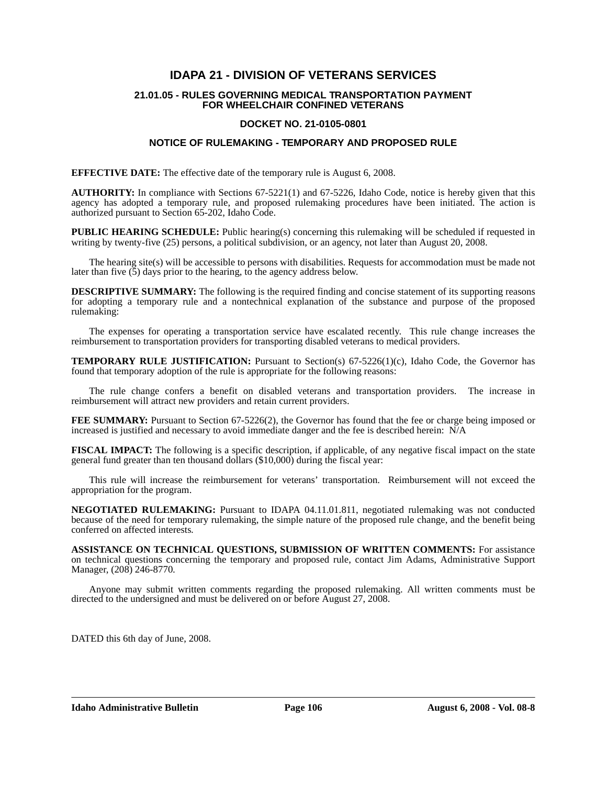## **IDAPA 21 - DIVISION OF VETERANS SERVICES**

#### **21.01.05 - RULES GOVERNING MEDICAL TRANSPORTATION PAYMENT FOR WHEELCHAIR CONFINED VETERANS**

#### **DOCKET NO. 21-0105-0801**

#### **NOTICE OF RULEMAKING - TEMPORARY AND PROPOSED RULE**

**EFFECTIVE DATE:** The effective date of the temporary rule is August 6, 2008.

**AUTHORITY:** In compliance with Sections 67-5221(1) and 67-5226, Idaho Code, notice is hereby given that this agency has adopted a temporary rule, and proposed rulemaking procedures have been initiated. The action is authorized pursuant to Section 65-202, Idaho Code.

**PUBLIC HEARING SCHEDULE:** Public hearing(s) concerning this rulemaking will be scheduled if requested in writing by twenty-five (25) persons, a political subdivision, or an agency, not later than August 20, 2008.

The hearing site(s) will be accessible to persons with disabilities. Requests for accommodation must be made not later than five  $(5)$  days prior to the hearing, to the agency address below.

**DESCRIPTIVE SUMMARY:** The following is the required finding and concise statement of its supporting reasons for adopting a temporary rule and a nontechnical explanation of the substance and purpose of the proposed rulemaking:

The expenses for operating a transportation service have escalated recently. This rule change increases the reimbursement to transportation providers for transporting disabled veterans to medical providers.

**TEMPORARY RULE JUSTIFICATION:** Pursuant to Section(s) 67-5226(1)(c), Idaho Code, the Governor has found that temporary adoption of the rule is appropriate for the following reasons:

The rule change confers a benefit on disabled veterans and transportation providers. The increase in reimbursement will attract new providers and retain current providers.

**FEE SUMMARY:** Pursuant to Section 67-5226(2), the Governor has found that the fee or charge being imposed or increased is justified and necessary to avoid immediate danger and the fee is described herein:  $\dot{N}/A$ 

**FISCAL IMPACT:** The following is a specific description, if applicable, of any negative fiscal impact on the state general fund greater than ten thousand dollars (\$10,000) during the fiscal year:

This rule will increase the reimbursement for veterans' transportation. Reimbursement will not exceed the appropriation for the program.

**NEGOTIATED RULEMAKING:** Pursuant to IDAPA 04.11.01.811, negotiated rulemaking was not conducted because of the need for temporary rulemaking, the simple nature of the proposed rule change, and the benefit being conferred on affected interests*.*

**ASSISTANCE ON TECHNICAL QUESTIONS, SUBMISSION OF WRITTEN COMMENTS:** For assistance on technical questions concerning the temporary and proposed rule, contact Jim Adams, Administrative Support Manager, (208) 246-8770*.*

Anyone may submit written comments regarding the proposed rulemaking. All written comments must be directed to the undersigned and must be delivered on or before August 27, 2008.

DATED this 6th day of June, 2008.